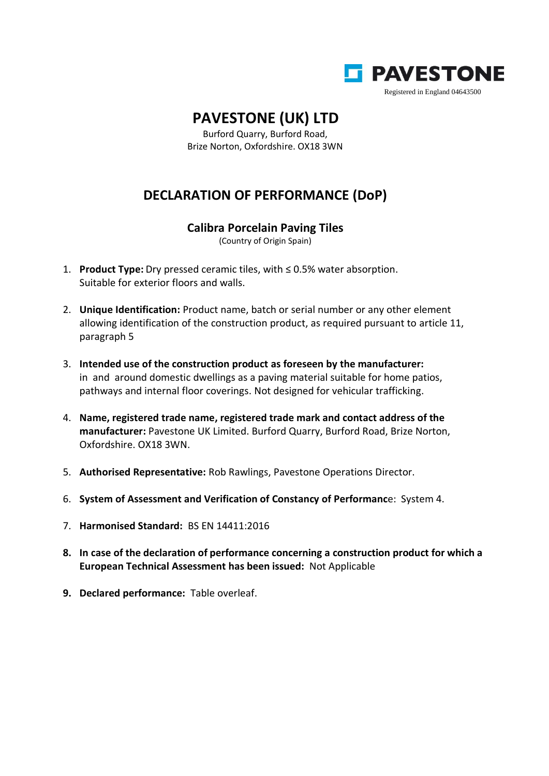

## **PAVESTONE (UK) LTD**

Burford Quarry, Burford Road, Brize Norton, Oxfordshire. OX18 3WN

## **DECLARATION OF PERFORMANCE (DoP)**

## **Calibra Porcelain Paving Tiles**

(Country of Origin Spain)

- 1. **Product Type:** Dry pressed ceramic tiles, with ≤ 0.5% water absorption. Suitable for exterior floors and walls.
- 2. **Unique Identification:** Product name, batch or serial number or any other element allowing identification of the construction product, as required pursuant to article 11, paragraph 5
- 3. **Intended use of the construction product as foreseen by the manufacturer:** in and around domestic dwellings as a paving material suitable for home patios, pathways and internal floor coverings. Not designed for vehicular trafficking.
- 4. **Name, registered trade name, registered trade mark and contact address of the manufacturer:** Pavestone UK Limited. Burford Quarry, Burford Road, Brize Norton, Oxfordshire. OX18 3WN.
- 5. **Authorised Representative:** Rob Rawlings, Pavestone Operations Director.
- 6. **System of Assessment and Verification of Constancy of Performanc**e: System 4.
- 7. **Harmonised Standard:** BS EN 14411:2016
- **8. In case of the declaration of performance concerning a construction product for which a European Technical Assessment has been issued:** Not Applicable
- **9. Declared performance:** Table overleaf.